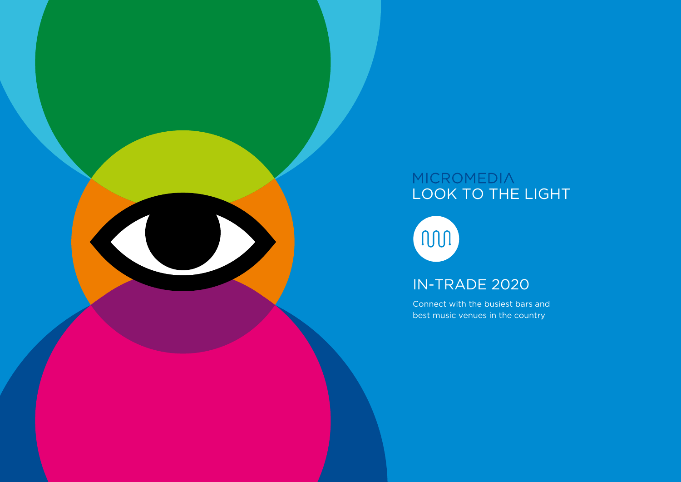# MICROMEDIA<br>LOOK TO THE LIGHT

non

### IN-TRADE 2020

Connect with the busiest bars and best music venues in the country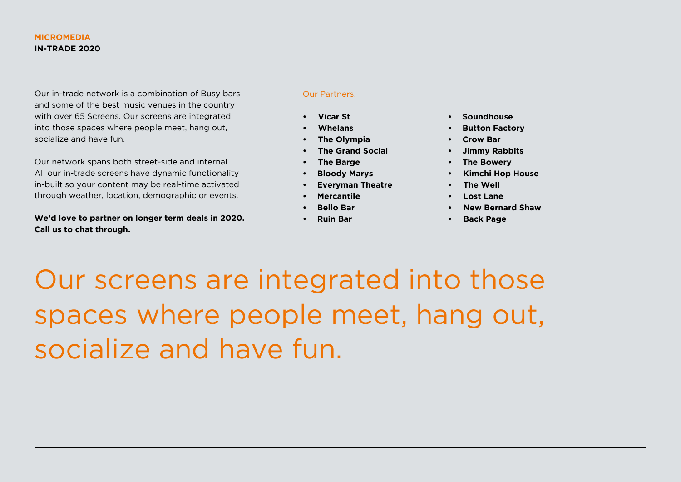Our in-trade network is a combination of Busy bars and some of the best music venues in the country with over 65 Screens. Our screens are integrated into those spaces where people meet, hang out, socialize and have fun.

Our network spans both street-side and internal. All our in-trade screens have dynamic functionality in-built so your content may be real-time activated through weather, location, demographic or events.

**We'd love to partner on longer term deals in 2020. Call us to chat through.**

#### Our Partners.

- **• Vicar St**
- **• Whelans**
- **• The Olympia**
- **• The Grand Social**
- **• The Barge**
- **• Bloody Marys**
- **• Everyman Theatre**
- **• Mercantile**
- **• Bello Bar**
- **• Ruin Bar**
- **• Soundhouse**
- **• Button Factory**
- **• Crow Bar**
- **• Jimmy Rabbits**
- **• The Bowery**
- **• Kimchi Hop House**
- **• The Well**
- **• Lost Lane**
- **• New Bernard Shaw**
- **• Back Page**

Our screens are integrated into those spaces where people meet, hang out, socialize and have fun.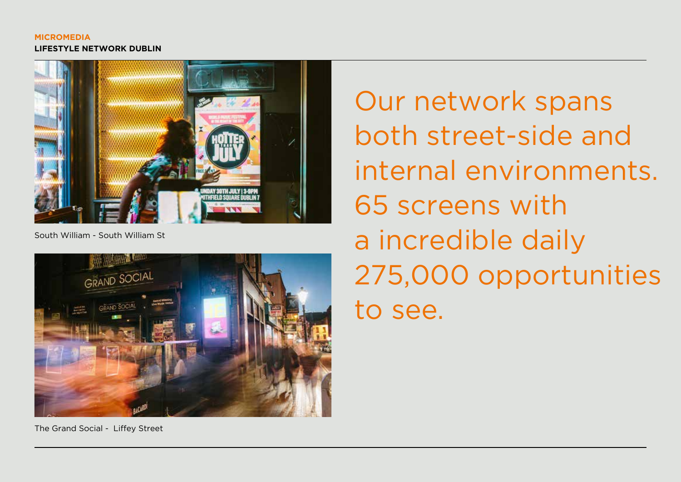#### **MICROMEDIA LIFESTYLE NETWORK DUBLIN**



South William - South William St



Our network spans both street-side and internal environments. 65 screens with a incredible daily 275,000 opportunities to see.

The Grand Social - Liffey Street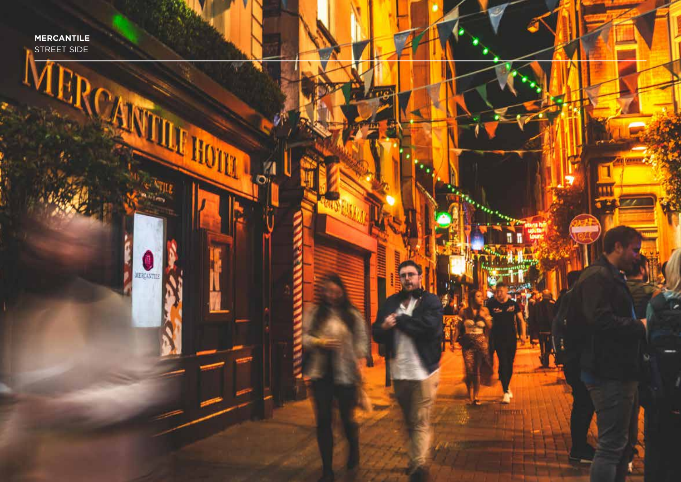**MERCANTILE** STREET SIDE

A

MERCANTEL

**THE HOTEL** 

D.

Ľ

**THEFT YES**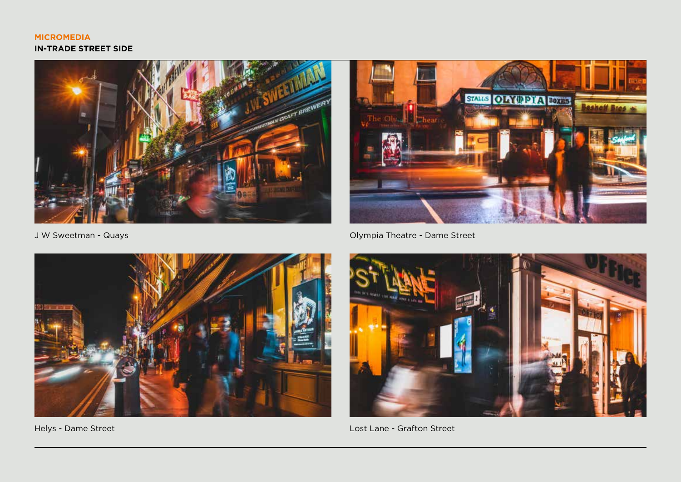#### **MICROMEDIA IN-TRADE STREET SIDE**



J W Sweetman - Quays



Helys - Dame Street

**OINTPIA BOXES STALLS Sholt Bros Theat** 

Olympia Theatre - Dame Street



Lost Lane - Grafton Street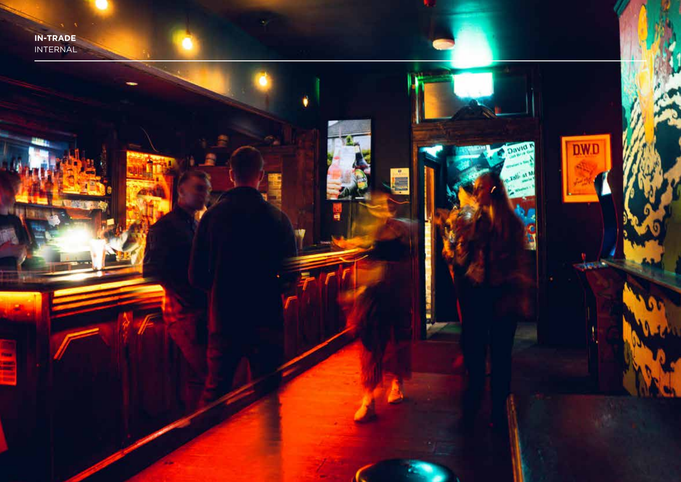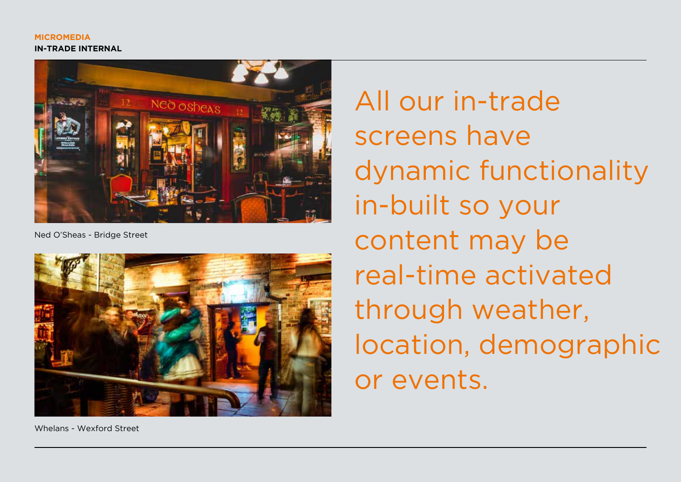

Ned O'Sheas - Bridge Street



All our in-trade screens have dynamic functionality in-built so your content may be real-time activated through weather, location, demographic or events.

Whelans - Wexford Street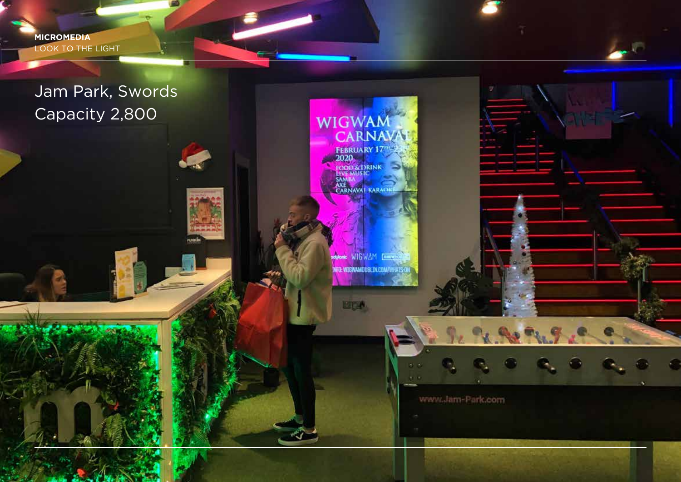**MICROMEDIA** LOOK TO THE LIGHT

## Jam Park, Swords Capacity 2,800

**WIGWAM konic** NFO: WIGWAMOUBLIN.COM/WHATS-0

www.Jam-Park.com

**MDA** 

WIGWAM<br>CARNAVA

FEBRUARY 17

**ENERGY STRUCK**<br> **ENTERNAIS IC**<br>
SAMBA<br>
CARNAVAL KARAOKE